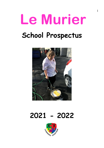# **Le Murier School Prospectus**



# **2021 - 2022**

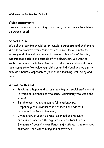#### **Welcome to Le Murier School**

# **Vision statement:**

Every experience is a learning opportunity and a chance to achieve a personal best!

# **School's Aim**:

We believe learning should be enjoyable, purposeful and challenging. We aim to promote every student's academic, social, emotional, sensory and physical development through a breadth of learning experiences both in and outside of the classroom. We want to enable our students to be active and productive members of their local community. We value your child as an individual and we aim to provide a holistic approach to your child's learning, well-being and care.

# **We will do this by**:

- Providing a happy and secure learning and social environment in which all members of the school community feel safe and valued;
- Building positive and meaningful relationships;
- Responding to individual student needs and address individual barriers to learning;
- Giving every student a broad, balanced and relevant curriculum based on the Big Picture with focus on the Elements of Learning (resilience, reflections, independence, teamwork, critical thinking and creativity);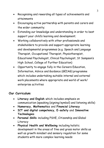- Recognising and rewarding all types of achievements and attainments
- Encouraging active partnership with parents and carers and the wider community;
- Extending our knowledge and understanding in order to best support your child's learning and development;
- Working collaboratively with other professionals and stakeholders to provide and support appropriate learning and developmental programmes (e.g. Speech and Language Therapist, Occupational Therapist, Physiotherapist, Educational Psychologist, Clinical Psychologist, St Sampson's High School, College of Further Education)
- Opportunity to engage fully in the Careers Education, Information, Advice and Guidance (GEIAG) programme which includes undertaking suitable internal and external work placements where appropriate and world of work/ enterprise activities

# **Our Curriculum**:

- **Literacy and English** which includes emphasis on communication (speaking {signing/symbol} and listening skills)
- **Numeracy, Mathematics** and **Financial Literacy**
- **ICT and digital competency, E-safety** and **Innovative Technologies**
- **Personal Skills** including PSHE, Citizenship and Global Literacy
- **Physical Health and Wellbeing** including holistic development in the areas of fine and gross motor skills as well as growth mindset and sensory regulation for some students with more complex learning needs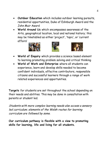- **Outdoor Education** which includes outdoor learning pursuits, residential opportunities, Duke of Edinburgh Award and the John Muir Award
- **World Around Us** which encompasses awareness of the Arts, geographical location, local and national history; this may be timetabled as either 'project', 'topic', or 'current affairs'







- **World of Enquiry** which provides a science based element to learning promoting problem solving and critical thinking
- **World of Work and Enterprise** where all students can experience, learn and develop skills needed to become confident individuals, effective contributors, responsible citizens and successful learners through a range of work related experiences and opportunities.

**Targets** for students are set throughout the school depending on their needs and abilities. This may be done in consultation with parents or student led.

Students with more complex learning needs also access a sensory led curriculum; elements of the Welsh routes for learning curriculum are followed by some.

**Our curriculum pathway is flexible with a view to promoting skills for learning, life and living for all students.**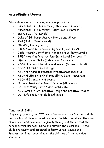# **Accreditations/Awards**

Students are able to access, where appropriate:

- Functional Skills Numeracy (Entry Level 1 upwards)
- Functional Skills Literacy (Entry Level 1 upwards)
- IGNOT ICT (All Levels)
- Duke of Edinburgh Award Bronze and Silver
- RYA (Sailing Trust award)
- NICAS (climbing award)
- BTEC Award in Home Cooking Skills (Level 1 + 2)
- BTEC Award/ Certificate in Work Skills (Entry Level 3)
- BTEC Award in Construction (Entry Level 3 or Level 1)
- Life and Living Skills (Entry Level 1 upwards)
- ASDAN Personal Development Award (Bronze to Gold)
- ASDAN Transition Challenge
- ASDAN Award of Personal Effectiveness (Level 1)
- ASDAN Life Skills Challenge (Entry Level 1 upwards)
- ASDAN Science short course
- National Navigation Award Scheme (All levels)
- St Johns Young First Aider Certificate
- ABC Award in Art, Creative Design and Creative Studies
- OCR Life and Living Skills (All levels)

# **Functional Skills**

Numeracy, Literacy and ICT are referred to as the functional skills and are taught through what are called tool-box sessions. They are also applied and developed regularly throughout the rest of the school curriculum both inside and outside the classroom. These skills are taught and assessed in Entry Levels, Levels and Progression Steps depending on the abilities of the individual students.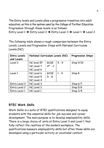The Entry levels and Levels allow a progressive transition into adult education, as this is the system used by the College of Further Education. Progression through these levels is as follows:

Entry Level  $1 \rightarrow$  Entry Level  $2 \rightarrow$  Entry Level  $3 \rightarrow$  Level  $1 \rightarrow$  Level 2

The following table shows a rough comparison between the Entry Levels, Levels and Progression Steps with National Curriculum Levels (NC).

| <b>Entry Levels</b><br>and Levels | National Curriculum Levels (NC) |                   |         | <b>Progression Steps</b> |
|-----------------------------------|---------------------------------|-------------------|---------|--------------------------|
| Level 2                           | NC level EP                     | GCSE              | $5 - 9$ | Step 9/10                |
|                                   | NC Level 7                      | $A^{\star}$ - $C$ |         |                          |
|                                   | NC Level 6                      |                   |         |                          |
| Level 1                           | NC Level 6                      | GCSE              | $1 - 4$ | Step 8                   |
|                                   | NC Level 5                      | $D - G$           |         |                          |
|                                   | NC Level 4                      |                   |         |                          |
| Entry Level 3                     | NC Level 3                      |                   |         | Step 6/7                 |
| Entry Level 2                     | NC Level 2                      |                   |         | Step 5/6                 |
| Entry Level 1                     | NC Level 1                      |                   |         | Step 3/4                 |

# **BTEC Work Skills**

Work Skills is a suite of BTEC qualifications designed to equip students with the essential skills for job success and career development. The main purpose is to develop employability skills. There is a large choice of units at Entry Level 3 and Level 1 that fully reflect the realities of the modern workplace. The qualifications measure employability skills but often these skills are developed using a particular activity or vocational context.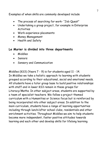Examples of when skills are commonly developed include

- The process of searching for work- "Job Quest"
- Undertaking a group project, for example in Enterprise **Activities**
- Work experience placements
- Money Management
- Health and Safety

# **Le Murier is divided into three departments**

- Middles
- Seniors
- Sensory and Communication

Middles (KS3) (Years 7 - 9) is for students aged 11 - 14. In Middles we take a holistic approach to learning with students grouped according to their educational, social and emotional needs. All students have a tutor group base to build positive relationships with staff and in lower KS3 remain in these groups for Literacy/Maths. In other subject areas, students are supported by a team of specialist teachers. We follow a project themed curriculum with a Humanities or Science focus but is reinforced by being incorporated into other subject areas. In addition to the main curriculum, students have a range of learning opportunities including through lunch/after school clubs, residentials and other enrichment activities. Throughout Middles we aim to help students become more independent, foster positive attitudes towards learning and each other and develop skills for lifelong learning.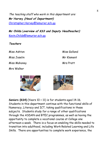The teaching staff who work in this department are: **Mr Harvey (Head of Department)** Christopher.Harvey@lemurier.sch.gg

**Mr Childs** (**overview of KS3 and Deputy Headteacher)**  Kevin.Childs@lemurier.sch.gg

**Teachers** 

Miss Joselin Mr Klement

Miss Mahoney Mrs Pratt

Mrs Walker

Miss Ashton Miss Golland



**Seniors (KS4)** (Years 10 + 11) is for students aged 14-16. Students in this department continue with the functional skills of Numeracy, Literacy and ICT, taking qualifications in these subjects. Students study for a range of other qualifications through the ASDAN and BTEC programmes, as well as having the opportunity to complete a vocational course at College one afternoon a week. There is a focus on enabling the skills needed to transition into adulthood, including Work Related Learning and Life Skills. There are opportunities to complete work experience, the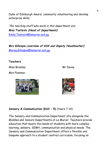Duke of Edinburgh Award, community volunteering and develop enterprise skills.

The teaching staff who work in this department are: **Miss Tostevin (Head of Department)** Emily.Tostevin@lemurier.sch.gg

**Mrs Gillespie** (**overview of KS4 and Deputy Headteacher)**  Morag.Gillespie@lemurier.sch.gg

#### **Teachers**

Miss Bromley Mr Dovey

Mrs Plummer





# **Sensory & Communication (KS3 – 5)** (Years 7-14)

The Sensory and Communication Department sits alongside the Middles and Seniors Departments at Le Murier. Teachers provide education that meets the needs of students with more complex learning, sensory, SEMH, communication and physical needs. The Sensory and Communication Department offers a flexible and bespoke approach to a student centred curriculum, focusing on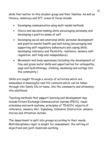skills that matter to this student group and their families. As well as literacy, numeracy and ICT, areas of focus include:

- Developing communication using multi-modal methods
- Choice and decision making while encouraging autonomy and developing a positive sense of self
- Developing social and emotional skills, personal development and positive mental health and well-being (encouraging and supporting self-regulatory behaviours and coping skills, developing tolerance and flexibility, resilience, sensory selfregulation, self-help and independence)
- Movement and body awareness (including the development of fine and gross motor skills and opportunities for osteopathy, yoga and hydrotherapy, climbing, swimming and outings into the community.)

Skills are taught through a variety of activities which are embedded in meaningful real life contexts which can be taken through into family life at home, into the community and ultimately into adulthood.

Teaching methods that support learning and development may include Picture Exchange Communication System (PECS), visual schedules and work systems, principles of TEACCH, objects of reference, sensory diet, Signalong, Intensive Interaction, sensory stories and Attention Autism.

The department is split into groups according to their needs. Multidisciplinary input is sought for assessment, the setting of objectives and joint classroom working.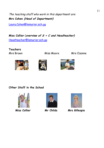The teaching staff who work in this department are: **Mrs Cohen (Head of Department)**

Laura.Cohen@lemurier.sch.gg

**Miss Collier** (**overview of S + C and Headteacher)**  Headteacher@lemurier.sch.gg

**Teachers**

Mrs Brown Miss Moore Mrs Ozanne







**Other Staff in the School** 







**Miss Collier Mr Childs Mrs Gillespie**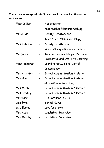# **There are a range of staff who work across Le Murier in various roles:**

| Miss Collier      | Headteacher                            |
|-------------------|----------------------------------------|
|                   | headteacher@lemurier.sch.gg            |
| Mr Childs         | Deputy Headteacher                     |
|                   | Kevin.Childs@lemurier.sch.gg           |
| Mrs Gillespie     | Deputy Headteacher                     |
|                   | Morag.Gillespie@lemurier.sch.gg        |
| Mr Dovey          | Teacher responsible for Outdoor,       |
|                   | Residential and Off-Site Learning      |
| Miss Richards     | Coordinator ICT and Digital            |
|                   | Competency                             |
| Mrs Alderton      | <b>School Administration Assistant</b> |
| Mrs Hunt          | <b>School Administration Assistant</b> |
|                   | office@lemurier.sch.gg                 |
| <b>Mrs Martin</b> | <b>School Administration Assistant</b> |
| Mrs Bradley       | <b>School Administration Assistant</b> |
| Mr Evans          | UQ Lecturer in CDT                     |
| Lisa Eyre         | <b>School Nurse</b>                    |
| Mrs Eagles        | LSA (cookery)                          |
| Mrs Assif         | Lunchtime Supervisor                   |
| Mrs Murphy        | Lunchtime Supervisor                   |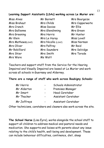#### **Learning Support Assistants (LSAs) working across Le Murier are:**

| Miss Alves        | Mr Barnett         | Mrs Bourgaize   |
|-------------------|--------------------|-----------------|
| Miss Brehaut      | Mrs Childs         | Mrs Copperwaite |
| Mrs Cranch        | <b>Miss Davies</b> | Mr Ellis        |
| Mrs Gallienne     | Mrs Glendinning    | Mrs Green       |
| Mrs Greening      | Mrs Harris         | Mr Hunter       |
| Mr Klein          | Mrs Le Huray       | Miss Lovell     |
| Mrs Mathews(LSA2) | Mrs Nicolle (LSA2) | Miss Norman     |
| Mrs Oliver        | Mrs Palfrey        | Mr Reid         |
| Mr Robilliard     | Mrs Saunders       | Mrs Selvidge    |
| Mrs Shier         | Mrs Smith          | Mrs Torode      |
| Mrs Ware          | Ms Watt            |                 |

Teachers and support staff from the Service for the Hearing Impaired and Visually Impaired are based at Le Murier and work across all schools in Guernsey and Alderney.

# **There are a range of staff who work across Baubigny Schools:**

| Mr Harris   | Schools Administrator |
|-------------|-----------------------|
| Mr Alderton | Premises Manager      |
| Mr Smart    | <b>Head Caretaker</b> |
| Mr Thacker  | Assistant Caretaker   |
| Mr Jeffreys | Assistant Caretaker   |

Other technicians, caretakers and cleaners also work across the site.

**The School Nurse** (Lisa Eyre), works alongside the school staff to support all children to address medical and pastoral needs and medication. She supports and liaises with parents about any issue relating to the child's health, well-being and development. These can include behaviour difficulties, continence, diet, sleep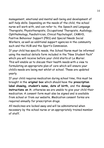management, emotional and mental well-being and development of self-help skills. Depending on the needs of the child, the school nurse will work with, and can refer to, the Speech and Language Therapists, Physiotherapists, Occupational Therapists, Audiology, Ophthalmology, Paediatrician, Clinical Psychologist, CAMHS, Positive Behaviour Support (PBS) and Special Needs Social Workers, as well as additional support agencies in the community such and the HUB and the Sport's Commission.

If your child has specific needs, the School Nurse must be informed using the medical details form included in the "New Student Pack" which you will receive before your child starts at Le Murier. This will enable us to discuss their health needs with a view to formulating an appropriate plan of care which will ensure your child's needs are being met whilst at school. These are updated yearly.

If your child requires medication during school time, this must be brought in the **original box** which should have the **prescription label showing, student's name, date of birth,** and the **dosage instructions on it;** otherwise we are unable to give your child their medication. A consent form must also be signed and is available from school or from our website. Medication consent forms are required annually for prescription drugs.

All medicines are locked away and will be administered when necessary by the school nurse or an appropriately trained member of staff.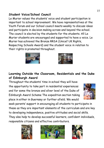# **Student Voice/School Council**

Le Murier values the students' voice and student participation is important to school improvement. We have representatives at the Youth Forum and our School council meets weekly to discuss ideas and participate in decision making across and beyond the school. The council is elected by the students for the students. All Le Murier students are encouraged and supported to have a voice. Le Murier has achieved the Bronze RRSA (Unicef UK Rights, Respecting Schools Award) and the student voice in relation to their rights is promoted throughout.





# **Learning Outside the Classroom, Residentials and the Duke of Edinburgh Award**

Throughout the students' time in school they will have the opportunity to take part in residential experiences and for some the bronze and silver level of the Duke of Edinburgh Award Scheme The expedition section taking place in either in Guernsey or further afield. We would



seek parents' support in encouraging all students to participate in these as they are important elements of the curriculum and are key to developing independence, positive attitudes and social skills. They also help to develop successful learners, confident individuals, responsible citizens and effective contributors.





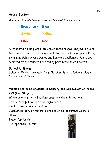# **House System**

Baubigny Schools have a house system which is as follows:

**Brecqhou** – Blue **Jethou – Yellow Lihou** – Red

All students will be placed into one of these houses. They will be used for a range of activities throughout the year including Sports Days, Swimming Galas, House Games and Learning Challenges. Points are achieved by the students for taking part in the sports events.

# **School Uniform**

School uniform is available from Fletcher Sports, Podgers, Game Changers and Shoestring.

# **Middles and some students in Sensory and Communication Years 7-9 (Key Stage 3)**

White polo shirt with Baubigny crest – white shirt optional Grey V-neck pulloverwith Baubigny crest Black trousers/skirt/ culottes Black shoes, (**NOT** trainers, plimsoles or ballet pumps) Velcro is allowed Blazer (optional) Tie (optional) – purple

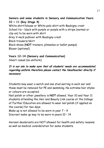**Seniors and some students in Sensory and Communication Years 10 + 11 (Key Stage 4)** White shirt/blouse or White polo shirt with Baubigny crest School tie – black with purple or purple with a stripe (normal or clip-on) to be worn with shirt Grey V-neck pullover with Baubigny crest Black trousers/skirt Black shoes (**NOT** trainers, plimsoles or ballet pumps) Blazer (optional)

# **Years 12-14 (Sensory and Communication)**

Smart casual (no uniform)

# **It is our aim to make sure that all students' needs are accommodated regarding uniform therefore please contact the Headteacher directly if necessary**

Students may wear a watch and one stud earring in each ear and these must be removed for PE and swimming. No extreme hair styles or colours are accepted.

Nail polish or other jewellery is **NOT** allowed. Year 10 and Year 11 students attending the Hair and Beauty Link course at the College of Further Education are allowed to wear nail polish (if applied on the course) for two days.

Make up is not allowed to be worn in year 7 – 9

Discreet make up may to be worn in years 10 – 14

Aerosol deodorants are NOT allowed for health and safety reasons as well as medical consideration for some students.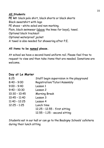# **All Students**

**PE kit**: black polo shirt, black shorts or black skorts Black sweatshirt with logo PE shoes – white soled and non-marking. Plain, black swimwear (above the knee for boys), towel. Optional black tracksuit Optional waterproof jacket A towel is also needed for showering after P.E.

# **All items to be named please.**

At school we have a second-hand uniform rail. Please feel free to request to view and then take items that are needed. Donations are welcome.

# **Day at Le Murier**

| Staff begin supervision in the playground |
|-------------------------------------------|
| Registration/Tutor/Assembly               |
| Lesson 1                                  |
| Lesson 2                                  |
| Morning Break                             |
| Lesson 3                                  |
| Lesson 4                                  |
| Lunch time                                |
| 12.25 - 12.55 - first sitting             |
| 12.55 - 1.25 - second sitting             |
|                                           |

Students eat in our hall or can go to the Baubigny Schools' cafeteria during their lunch sitting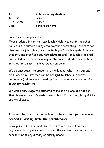| 1.25          | Afternoon registration |
|---------------|------------------------|
| $1:30 - 2:15$ | Lesson 5               |
| $2:15 - 2:55$ | Lesson 6               |
| 2:55          | Time to go home        |

# **Lunchtime arrangements**

Most students bring their own lunch which they eat in the school hall or in the outside dining area, weather permitting. Students can also use the joint dining areas in Baubigny Schools cafeteria where students and staff can buy refreshments and / or lunch. Hot food purchased in the cafeteria may **not** be taken outside the cafeteria to be eaten, unless it is in a sealed container

We do encourage the students to think about what they eat and drink each day. Hot food can be brought to school in thermal containers (but we cannot heat up food to be eaten in the hall due to safety regulations).

We would encourage the students to include a piece of fruit for their break or lunch. Squash is available at 10p per cup; fizzy drinks are not allowed.

# **If your child is to leave school at lunchtime, permission is needed in writing from the parent/carer.**

Arrangements can be made for students with special dietary requirements so please note these on the medical sheet or let the school know of any dietary or allergy needs.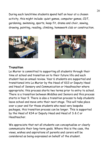During each lunchtime students spend half an hour at a chosen activity, this might include: quiet games, computer games, CDT, gardening, swimming, sports, keep fit, drama and choir, sewing, drawing, painting, reading, climbing, homework club or construction.





# **Transition**

Le Murier is committed to supporting all students through their time at school and transition on to their future life and each student has an annual review. Year 6 students are supported and transitioned into Le Murier by the Head of KS3 or Deputy Head and Head of Sensory and Communication or Headteacher where appropriate; this process starts two terms prior to entry to school. There is a transition between Middles and Seniors and this process starts in Year 9. There is also a transition process to help students leave school and move onto their next stage. This will take place over a year and for those students who need very bespoke packages, this transition process can be longer. This is supported by the Head of KS4 or Deputy Head and Head of S & C or Headteacher.

We appreciate that not all students can conceptualise or clearly communicate their long-term goals. Where this is the case, the views, wishes and aspirations of parents and carers will be considered as being expressed on behalf of the student.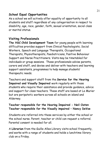# **School Equal Opportunities**

As a school we will actively offer equality of opportunity to all students and staff regardless of any categorisation in respect to disability, age, race, gender, faith, sexual orientation, social class or marital status.

# **Visiting Professionals**

**The HSC Child Development Team** for young people with learning difficulties provides support from Clinical Psychologists, Social Workers, Speech and Language Therapists, Occupational Therapists, Physiotherapists, Paediatricians, Positive Behaviour Support and Nurse Practitioners. Visits may be timetabled for individuals or group sessions. These professionals advise parents, carers and staff, and devise and deliver with teachers and learning support assistants, programmes to help manage students' therapeutic needs.

Teachers and support staff from the **Service for the Hearing Impaired and Visually Impaired** work regularly with those students who require their assistance and provide guidance, advice and support for class teachers. These staff are based at Le Murier but are peripatetic workers across all schools on island and Alderney.

# **Teacher responsible for the Hearing Impaired - Neil Oaten Teacher responsible for the Visually impaired – Nancy DeVoe**

Students are referred into these services by either the school or the school nurse. Parent, teacher or child can request a referral. Parental consent is needed for all.

A **Librarian** from the Guille-Alles Library visits school frequently, and works with a range of students and holds a lunchtime library club on a Friday.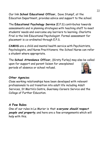Our link **School Educational Officer,** Dave Stumpf, at the Education Department, provides advice and support to the school.

The **Educational Psychology Service** (E.P.S) contributes towards assessments and in planning strategies with teaching staff to meet students' needs and overcome any barriers to learning. Charlotte Friel is the link Educational Psychologist. Formal assessment for placement is co-ordinated through E.P.S.

**CAMHS** are a child and mental health service with Psychiatrists, Psychologists, and Nurse Practitioners; the School Nurse can refer a student where appropriate.

The **School Attendance Officer,** (Kirsty Furley) may also be called upon for support and parent liaison for unexplained periods of absence or school refusal.

# **Other Agencies**

Close working relationships have been developed with relevant professionals to aid transition into adult life including Adult Services, St Martin's Centre, Guernsey Careers Service and the College of Further Education.

# **A Few Rules**

One of our rules in Le Murier is that **everyone should respect people and property**, and here are a few arrangements which will help with this.

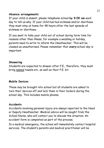#### **Absence arrangements**

If your child is absent, please telephone school **by 9:00 am** each day to tell us why. If your child has had sickness and/or diarrhoea they must stay at home for 48 hours after the last episode of sickness or diarrhoea.

If you want to take your child out of school during term time for reasons other than illness, for example a wedding or holiday, parents need to write to inform the Headteacher. This will be classed as unauthorised. Please remember that **every** school day is important.

#### **Showering**

Students are expected to shower after P.E., therefore, they must bring named towels etc. as well as their P.E. kit.

# **Mobile Devices**

These may be brought into school but all students are asked to turn their devices off and lock them in their lockers during the school day. This includes mobile phones.

# **Accidents**

Accidents involving personal injury are always reported to the Head or Deputy Headteacher. Medical advice will be sought from the School Nurse, who will contact you to discuss the situation. An accident form is completed as part of the process.

In a medical emergency, the school will immediately contact hospital services. The student's parents and medical practitioner will be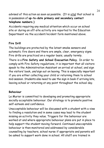advised of this action as soon as possible. (It is vital that school is in possession of **up-to-date primary and secondary contact telephone numbers.)**

Accidents requiring any medical attention which occur on school site or during an off-site activity are reported to the Education Department via the accident/incident form mentioned above.

# **Fire Drill**

The buildings are protected by the latest smoke sensors and automatic fire doors and there are ample, clear, emergency signs. Fire drills are practiced on a regular basis, usually termly.

There is a **Fire Safety and School Evacuation Policy.** In order to comply with Fire Safety regulations, it is important that all visitors speak to the Administration Assistant on arrival at school, and sign the visitors' book, and sign out on leaving. This is especially important if you are either collecting your child or returning them to school mid-session. Students also need to use the sign in book if arriving late, leaving school or returning at any point throughout the school day.

# **Behaviour**

Le Murier is committed to developing and promoting appropriate socially acceptable behaviour. Our strategy is to promote positive self-esteem and confidence.

Unacceptable behaviour will be discussed with a student with a view to finding a resolution and in some cases may lead to the student missing an activity they value. Triggers for the behaviour are worked at and where appropriate behaviour plans are put in place to help support the student moving forward. Continued unacceptable behaviour is then monitored and addressed by considerable counselling by teachers, school nurse if appropriate and parents will be asked to support work done in school. All staff are trained in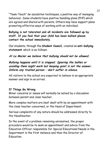"Team-Teach" de-escalation techniques, a positive way of managing behaviour. Some students have positive handling plans (PHP) which are agreed and shared with parents. Others may have support plans promoting effective ways of working with an individual.

**Bullying is not tolerated and all incidents are followed up by staff. If you feel that your child has been bullied please contact the school immediately.** 

Our students, through the **Student Council,** created an **anti-bullying statement** which is as follows:

**At Le Murier we believe that bullying should not be allowed.**

**Bullying happens until it is stopped. Ignoring the bullies or avoiding them might work but keeping quiet is not the answer. Inform any trusted person – don't suffer in silence.**

All visitors to the school are expected to behave in an appropriate manner and sign in on arrival.

# **If Things Go Wrong**

Minor concerns or issues will normally be solved by a discussion between parent and class teacher.

More complex matters are best dealt with by an appointment with the class teacher concerned, or the Head of Department.

Serious complaints of any nature should be addressed directly to the Headteacher.

In the event of a problem remaining unresolved, the proper procedure would be to seek an appointment and advice from the Education Officer responsible for Special Educational Needs in the Department in the first instance and then the Director of Education.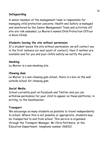# **Safeguarding**

A senior member of the management team is responsible for managing child protection concerns. Health and Safety is managed and monitored by the Senior Management Team and activities off site are risk assessed. Le Murier's named Child Protection Officer is Kevin Childs.

# **Students leaving the site without permission**

If a student leaves the site without permission, we will contact you in the first instance (or next point of contact), then if neither are available and for you and your child's safety we notify the police.

# **Smoking**

Le Murier is a non-smoking site

# **Chewing Gum**

Le Murier is a non-chewing gum school, there is a box on the wall outside school for chewing gum.

# **Social Media**

School currently post on Facebook and Twitter and you can withdraw permission for your child to appear on these platforms, in writing, to the headteacher.

# **Transport**

We encourage as many students as possible to travel independently to school. Where this is not possible or appropriate, students may be transported to and from school. This service is organised through the Transport Manager, Mr Chris Pattimore, at the Education Department, telephone number 268312.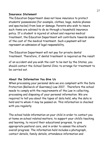#### **Insurance Statement**

The Education Department does not have insurance to protect students' possessions (for example, clothes, bags, mobile phones and spectacles) from loss or damage. Parents who wish to insure such items are advised to do so through a household insurance policy. If a student is injured at school and requires medical treatment, the Education Department will contribute towards some of the cost of the medical treatment. Such a payment will not represent an admission of legal responsibility.

The Education Department will not pay for private dental treatment. Therefore, if dental treatment is required as the result

of an accident and you wish the cost to be met by the States, you should contact the School Dental Clinic to arrange for treatment to be carried out.

# **About the Information You Give Us**

When processing your personal data we are compliant with the Data Protection (Bailiwick of Guernsey) Law 2017. Therefore the school needs to comply with the requirements of the Law in collecting, processing and disposing of your personal information. We are required to tell you about the types of data held, why the data is held and to whom it may be passed on. This information is checked with you regularly.

The school holds information on your child in order to contact you at home on school related matters, to support your child's teaching and learning, to record their educational progress, to give appropriate pastoral care, and in order to assess the school's overall progress. The information held includes a photograph, contact details, family details, attendance information and